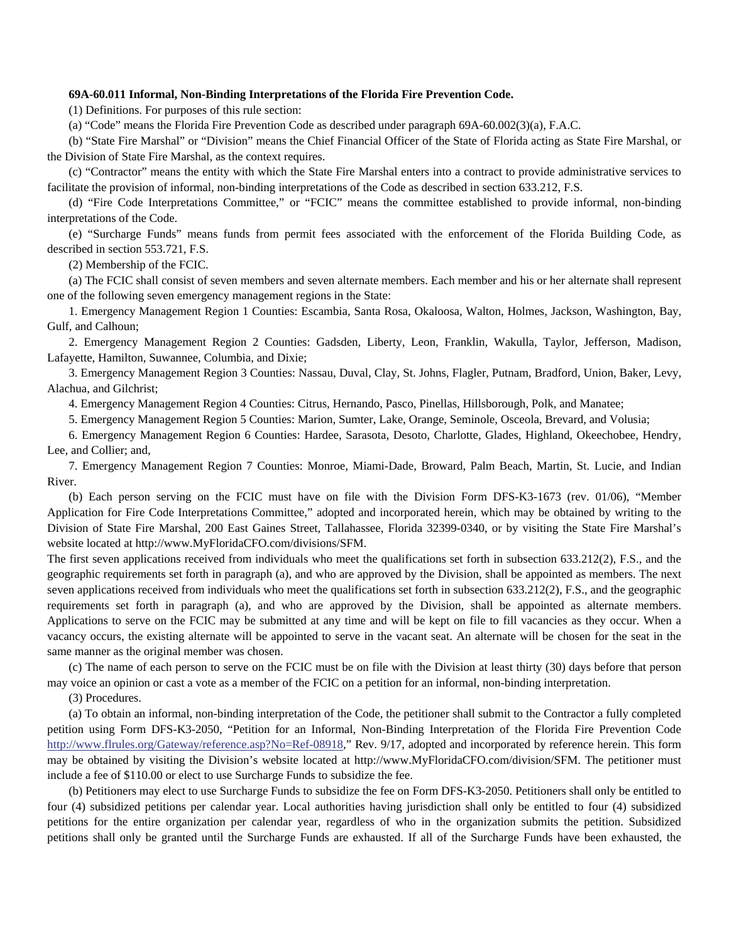## **69A-60.011 Informal, Non-Binding Interpretations of the Florida Fire Prevention Code.**

(1) Definitions. For purposes of this rule section:

(a) "Code" means the Florida Fire Prevention Code as described under paragraph 69A-60.002(3)(a), F.A.C.

(b) "State Fire Marshal" or "Division" means the Chief Financial Officer of the State of Florida acting as State Fire Marshal, or the Division of State Fire Marshal, as the context requires.

(c) "Contractor" means the entity with which the State Fire Marshal enters into a contract to provide administrative services to facilitate the provision of informal, non-binding interpretations of the Code as described in section 633.212, F.S.

(d) "Fire Code Interpretations Committee," or "FCIC" means the committee established to provide informal, non-binding interpretations of the Code.

(e) "Surcharge Funds" means funds from permit fees associated with the enforcement of the Florida Building Code, as described in section 553.721, F.S.

(2) Membership of the FCIC.

(a) The FCIC shall consist of seven members and seven alternate members. Each member and his or her alternate shall represent one of the following seven emergency management regions in the State:

1. Emergency Management Region 1 Counties: Escambia, Santa Rosa, Okaloosa, Walton, Holmes, Jackson, Washington, Bay, Gulf, and Calhoun;

2. Emergency Management Region 2 Counties: Gadsden, Liberty, Leon, Franklin, Wakulla, Taylor, Jefferson, Madison, Lafayette, Hamilton, Suwannee, Columbia, and Dixie;

3. Emergency Management Region 3 Counties: Nassau, Duval, Clay, St. Johns, Flagler, Putnam, Bradford, Union, Baker, Levy, Alachua, and Gilchrist;

4. Emergency Management Region 4 Counties: Citrus, Hernando, Pasco, Pinellas, Hillsborough, Polk, and Manatee;

5. Emergency Management Region 5 Counties: Marion, Sumter, Lake, Orange, Seminole, Osceola, Brevard, and Volusia;

6. Emergency Management Region 6 Counties: Hardee, Sarasota, Desoto, Charlotte, Glades, Highland, Okeechobee, Hendry, Lee, and Collier; and,

7. Emergency Management Region 7 Counties: Monroe, Miami-Dade, Broward, Palm Beach, Martin, St. Lucie, and Indian River.

(b) Each person serving on the FCIC must have on file with the Division Form DFS-K3-1673 (rev. 01/06), "Member Application for Fire Code Interpretations Committee," adopted and incorporated herein, which may be obtained by writing to the Division of State Fire Marshal, 200 East Gaines Street, Tallahassee, Florida 32399-0340, or by visiting the State Fire Marshal's website located at http://www.MyFloridaCFO.com/divisions/SFM.

The first seven applications received from individuals who meet the qualifications set forth in subsection 633.212(2), F.S., and the geographic requirements set forth in paragraph (a), and who are approved by the Division, shall be appointed as members. The next seven applications received from individuals who meet the qualifications set forth in subsection 633.212(2), F.S., and the geographic requirements set forth in paragraph (a), and who are approved by the Division, shall be appointed as alternate members. Applications to serve on the FCIC may be submitted at any time and will be kept on file to fill vacancies as they occur. When a vacancy occurs, the existing alternate will be appointed to serve in the vacant seat. An alternate will be chosen for the seat in the same manner as the original member was chosen.

(c) The name of each person to serve on the FCIC must be on file with the Division at least thirty (30) days before that person may voice an opinion or cast a vote as a member of the FCIC on a petition for an informal, non-binding interpretation.

(3) Procedures.

(a) To obtain an informal, non-binding interpretation of the Code, the petitioner shall submit to the Contractor a fully completed petition using Form DFS-K3-2050, "Petition for an Informal, Non-Binding Interpretation of the Florida Fire Prevention Code http://www.flrules.org/Gateway/reference.asp?No=Ref-08918," Rev. 9/17, adopted and incorporated by reference herein. This form may be obtained by visiting the Division's website located at http://www.MyFloridaCFO.com/division/SFM. The petitioner must include a fee of \$110.00 or elect to use Surcharge Funds to subsidize the fee.

(b) Petitioners may elect to use Surcharge Funds to subsidize the fee on Form DFS-K3-2050. Petitioners shall only be entitled to four (4) subsidized petitions per calendar year. Local authorities having jurisdiction shall only be entitled to four (4) subsidized petitions for the entire organization per calendar year, regardless of who in the organization submits the petition. Subsidized petitions shall only be granted until the Surcharge Funds are exhausted. If all of the Surcharge Funds have been exhausted, the